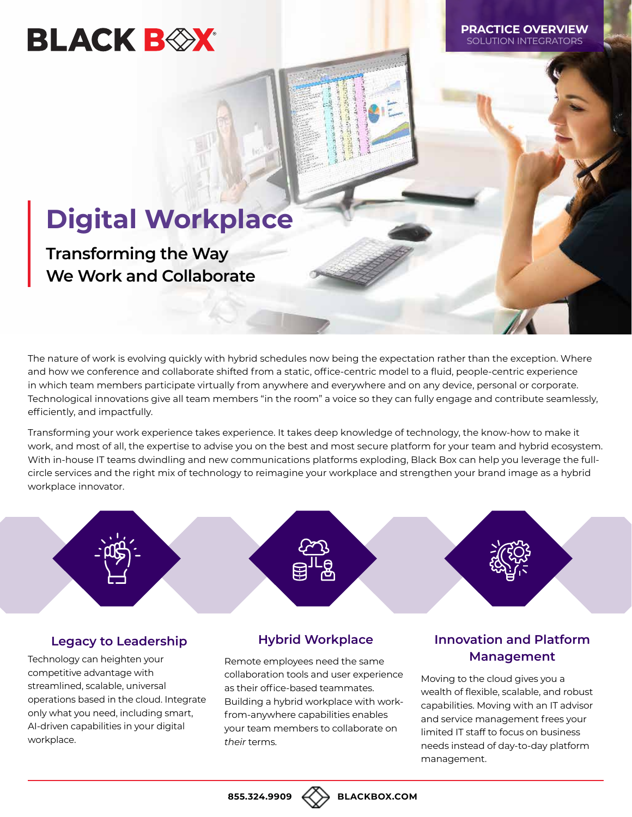# **BLACK BEX**

**PRACTICE OVERVIEW** SOLUTION INTEGRATOR

# **Digital Workplace**

**Transforming the Way We Work and Collaborate**

The nature of work is evolving quickly with hybrid schedules now being the expectation rather than the exception. Where and how we conference and collaborate shifted from a static, office-centric model to a fluid, people-centric experience in which team members participate virtually from anywhere and everywhere and on any device, personal or corporate. Technological innovations give all team members "in the room" a voice so they can fully engage and contribute seamlessly, efficiently, and impactfully.

Transforming your work experience takes experience. It takes deep knowledge of technology, the know-how to make it work, and most of all, the expertise to advise you on the best and most secure platform for your team and hybrid ecosystem. With in-house IT teams dwindling and new communications platforms exploding, Black Box can help you leverage the fullcircle services and the right mix of technology to reimagine your workplace and strengthen your brand image as a hybrid workplace innovator.

# **Legacy to Leadership**

Technology can heighten your competitive advantage with streamlined, scalable, universal operations based in the cloud. Integrate only what you need, including smart, AI-driven capabilities in your digital workplace.

# **Hybrid Workplace**

Remote employees need the same collaboration tools and user experience as their office-based teammates. Building a hybrid workplace with workfrom-anywhere capabilities enables your team members to collaborate on *their* terms.

# **Innovation and Platform Management**

Moving to the cloud gives you a wealth of flexible, scalable, and robust capabilities. Moving with an IT advisor and service management frees your limited IT staff to focus on business needs instead of day-to-day platform management.